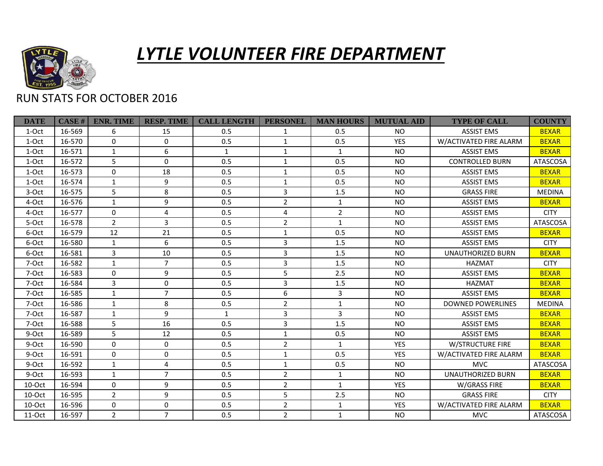

## *LYTLE VOLUNTEER FIRE DEPARTMENT*

## RUN STATS FOR OCTOBER 2016

| <b>DATE</b> | CASE H | <b>ENR. TIME</b> | <b>RESP. TIME</b> | <b>CALL LENGTH</b> | <b>PERSONEL</b> | <b>MAN HOURS</b> | <b>MUTUAL AID</b> | <b>TYPE OF CALL</b>      | <b>COUNTY</b>   |
|-------------|--------|------------------|-------------------|--------------------|-----------------|------------------|-------------------|--------------------------|-----------------|
| 1-Oct       | 16-569 | 6                | 15                | 0.5                | $\mathbf{1}$    | 0.5              | <b>NO</b>         | <b>ASSIST EMS</b>        | <b>BEXAR</b>    |
| 1-Oct       | 16-570 | $\mathbf 0$      | $\mathbf 0$       | 0.5                | $\mathbf{1}$    | 0.5              | <b>YES</b>        | W/ACTIVATED FIRE ALARM   | <b>BEXAR</b>    |
| 1-Oct       | 16-571 | $\mathbf{1}$     | 6                 | $\mathbf{1}$       | $\mathbf 1$     | $\mathbf{1}$     | <b>NO</b>         | <b>ASSIST EMS</b>        | <b>BEXAR</b>    |
| 1-Oct       | 16-572 | 5                | $\mathbf 0$       | 0.5                | $\mathbf{1}$    | 0.5              | <b>NO</b>         | <b>CONTROLLED BURN</b>   | <b>ATASCOSA</b> |
| 1-Oct       | 16-573 | $\Omega$         | 18                | 0.5                | $\mathbf{1}$    | 0.5              | <b>NO</b>         | <b>ASSIST EMS</b>        | <b>BEXAR</b>    |
| 1-Oct       | 16-574 | $\mathbf{1}$     | 9                 | 0.5                | $\mathbf{1}$    | 0.5              | <b>NO</b>         | <b>ASSIST EMS</b>        | <b>BEXAR</b>    |
| 3-Oct       | 16-575 | 5                | 8                 | 0.5                | 3               | 1.5              | <b>NO</b>         | <b>GRASS FIRE</b>        | <b>MEDINA</b>   |
| 4-Oct       | 16-576 | $\mathbf{1}$     | 9                 | 0.5                | $\overline{2}$  | $\mathbf{1}$     | <b>NO</b>         | <b>ASSIST EMS</b>        | <b>BEXAR</b>    |
| 4-Oct       | 16-577 | $\Omega$         | $\overline{4}$    | 0.5                | $\overline{4}$  | $\overline{2}$   | <b>NO</b>         | <b>ASSIST EMS</b>        | <b>CITY</b>     |
| 5-Oct       | 16-578 | $\overline{2}$   | $\mathsf{3}$      | 0.5                | $\overline{2}$  | $\mathbf{1}$     | <b>NO</b>         | <b>ASSIST EMS</b>        | ATASCOSA        |
| 6-Oct       | 16-579 | 12               | 21                | 0.5                | $\mathbf{1}$    | 0.5              | <b>NO</b>         | <b>ASSIST EMS</b>        | <b>BEXAR</b>    |
| 6-Oct       | 16-580 | $\mathbf{1}$     | 6                 | 0.5                | $\mathbf{3}$    | 1.5              | <b>NO</b>         | <b>ASSIST EMS</b>        | <b>CITY</b>     |
| 6-Oct       | 16-581 | $\overline{3}$   | 10                | 0.5                | 3               | 1.5              | <b>NO</b>         | <b>UNAUTHORIZED BURN</b> | <b>BEXAR</b>    |
| 7-Oct       | 16-582 | $\mathbf{1}$     | $\overline{7}$    | 0.5                | $\overline{3}$  | 1.5              | <b>NO</b>         | <b>HAZMAT</b>            | <b>CITY</b>     |
| 7-Oct       | 16-583 | $\Omega$         | 9                 | 0.5                | 5               | 2.5              | <b>NO</b>         | <b>ASSIST EMS</b>        | <b>BEXAR</b>    |
| 7-Oct       | 16-584 | 3                | 0                 | 0.5                | $\overline{3}$  | 1.5              | <b>NO</b>         | <b>HAZMAT</b>            | <b>BEXAR</b>    |
| 7-Oct       | 16-585 | $\mathbf{1}$     | $\overline{7}$    | 0.5                | 6               | 3                | <b>NO</b>         | <b>ASSIST EMS</b>        | <b>BEXAR</b>    |
| 7-Oct       | 16-586 | $\mathbf{1}$     | 8                 | 0.5                | $\overline{2}$  | $\mathbf{1}$     | <b>NO</b>         | <b>DOWNED POWERLINES</b> | <b>MEDINA</b>   |
| 7-Oct       | 16-587 | $\mathbf{1}$     | 9                 | 1                  | 3               | 3                | <b>NO</b>         | <b>ASSIST EMS</b>        | <b>BEXAR</b>    |
| 7-Oct       | 16-588 | 5                | 16                | 0.5                | 3               | 1.5              | <b>NO</b>         | <b>ASSIST EMS</b>        | <b>BEXAR</b>    |
| 9-Oct       | 16-589 | 5                | 12                | 0.5                | $\mathbf{1}$    | 0.5              | <b>NO</b>         | <b>ASSIST EMS</b>        | <b>BEXAR</b>    |
| 9-Oct       | 16-590 | 0                | $\mathbf 0$       | 0.5                | $\overline{2}$  | $\mathbf{1}$     | <b>YES</b>        | W/STRUCTURE FIRE         | <b>BEXAR</b>    |
| 9-Oct       | 16-591 | $\Omega$         | $\mathbf{0}$      | 0.5                | $\mathbf{1}$    | 0.5              | <b>YES</b>        | W/ACTIVATED FIRE ALARM   | <b>BEXAR</b>    |
| 9-Oct       | 16-592 | $\mathbf{1}$     | 4                 | 0.5                | $\mathbf{1}$    | 0.5              | <b>NO</b>         | <b>MVC</b>               | <b>ATASCOSA</b> |
| 9-Oct       | 16-593 | $\mathbf{1}$     | $\overline{7}$    | 0.5                | $\overline{2}$  | $\mathbf{1}$     | <b>NO</b>         | <b>UNAUTHORIZED BURN</b> | <b>BEXAR</b>    |
| $10$ -Oct   | 16-594 | $\Omega$         | 9                 | 0.5                | $\overline{2}$  | $\mathbf{1}$     | <b>YES</b>        | W/GRASS FIRE             | <b>BEXAR</b>    |
| $10$ -Oct   | 16-595 | $\overline{2}$   | 9                 | 0.5                | 5               | 2.5              | <b>NO</b>         | <b>GRASS FIRE</b>        | <b>CITY</b>     |
| $10$ -Oct   | 16-596 | $\Omega$         | 0                 | 0.5                | $\overline{2}$  | $\mathbf{1}$     | <b>YES</b>        | W/ACTIVATED FIRE ALARM   | <b>BEXAR</b>    |
| 11-Oct      | 16-597 | $\overline{2}$   | $\overline{7}$    | 0.5                | $\overline{2}$  | $\mathbf{1}$     | <b>NO</b>         | <b>MVC</b>               | ATASCOSA        |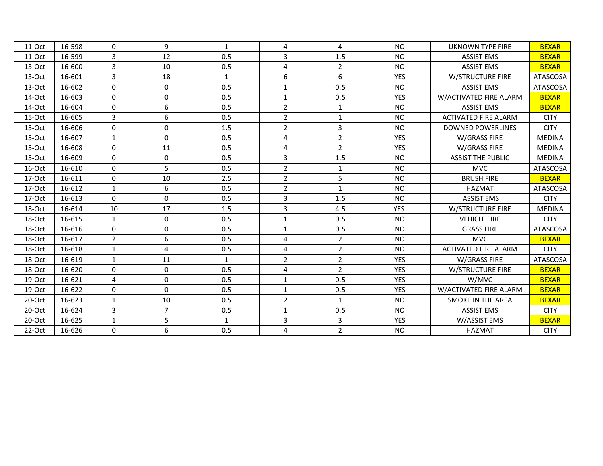| $11-Oct$  | 16-598 | $\Omega$       | 9              | 1            | 4              | 4              | <b>NO</b>      | <b>UKNOWN TYPE FIRE</b>     | <b>BEXAR</b>    |
|-----------|--------|----------------|----------------|--------------|----------------|----------------|----------------|-----------------------------|-----------------|
| $11-Oct$  | 16-599 | 3              | 12             | 0.5          | 3              | 1.5            | <b>NO</b>      | <b>ASSIST EMS</b>           | <b>BEXAR</b>    |
| $13-Oct$  | 16-600 | 3              | 10             | 0.5          | 4              | $\overline{2}$ | <b>NO</b>      | <b>ASSIST EMS</b>           | <b>BEXAR</b>    |
| 13-Oct    | 16-601 | 3              | 18             | 1            | 6              | 6              | <b>YES</b>     | W/STRUCTURE FIRE            | <b>ATASCOSA</b> |
| 13-Oct    | 16-602 | $\Omega$       | $\Omega$       | 0.5          | $\mathbf{1}$   | 0.5            | <b>NO</b>      | <b>ASSIST EMS</b>           | <b>ATASCOSA</b> |
| $14$ -Oct | 16-603 | $\Omega$       | $\mathbf 0$    | 0.5          | 1              | 0.5            | <b>YES</b>     | W/ACTIVATED FIRE ALARM      | <b>BEXAR</b>    |
| $14$ -Oct | 16-604 | $\Omega$       | 6              | 0.5          | $\overline{2}$ | $\mathbf{1}$   | <b>NO</b>      | <b>ASSIST EMS</b>           | <b>BEXAR</b>    |
| 15-Oct    | 16-605 | 3              | 6              | 0.5          | $\overline{2}$ | $\mathbf{1}$   | <b>NO</b>      | <b>ACTIVATED FIRE ALARM</b> | <b>CITY</b>     |
| 15-Oct    | 16-606 | $\Omega$       | 0              | 1.5          | $\overline{2}$ | 3              | <b>NO</b>      | <b>DOWNED POWERLINES</b>    | <b>CITY</b>     |
| $15-Oct$  | 16-607 | $\mathbf{1}$   | $\Omega$       | 0.5          | 4              | $\overline{2}$ | <b>YES</b>     | W/GRASS FIRE                | <b>MEDINA</b>   |
| $15-Oct$  | 16-608 | $\Omega$       | 11             | 0.5          | 4              | $\overline{2}$ | <b>YES</b>     | <b>W/GRASS FIRE</b>         | <b>MEDINA</b>   |
| $15-Oct$  | 16-609 | $\Omega$       | $\mathbf 0$    | 0.5          | 3              | 1.5            | <b>NO</b>      | <b>ASSIST THE PUBLIC</b>    | <b>MEDINA</b>   |
| $16$ -Oct | 16-610 | $\Omega$       | 5              | 0.5          | $\overline{2}$ | $\mathbf{1}$   | <b>NO</b>      | <b>MVC</b>                  | <b>ATASCOSA</b> |
| $17-Oct$  | 16-611 | $\Omega$       | 10             | 2.5          | $\overline{2}$ | 5              | N <sub>O</sub> | <b>BRUSH FIRE</b>           | <b>BEXAR</b>    |
| 17-Oct    | 16-612 | $\mathbf{1}$   | 6              | 0.5          | $\overline{2}$ | $\mathbf{1}$   | <b>NO</b>      | <b>HAZMAT</b>               | ATASCOSA        |
| $17-Oct$  | 16-613 | $\Omega$       | 0              | 0.5          | 3              | 1.5            | <b>NO</b>      | <b>ASSIST EMS</b>           | <b>CITY</b>     |
| 18-Oct    | 16-614 | 10             | 17             | 1.5          | 3              | 4.5            | <b>YES</b>     | <b>W/STRUCTURE FIRE</b>     | <b>MEDINA</b>   |
| 18-Oct    | 16-615 | $\mathbf{1}$   | 0              | 0.5          | $\mathbf{1}$   | 0.5            | N <sub>O</sub> | <b>VEHICLE FIRE</b>         | <b>CITY</b>     |
| 18-Oct    | 16-616 | $\Omega$       | $\mathbf 0$    | 0.5          | $\mathbf{1}$   | 0.5            | <b>NO</b>      | <b>GRASS FIRE</b>           | <b>ATASCOSA</b> |
| 18-Oct    | 16-617 | $\overline{2}$ | 6              | 0.5          | 4              | $\overline{2}$ | <b>NO</b>      | MVC.                        | <b>BEXAR</b>    |
| 18-Oct    | 16-618 | $\mathbf{1}$   | 4              | 0.5          | 4              | $\overline{2}$ | <b>NO</b>      | <b>ACTIVATED FIRE ALARM</b> | <b>CITY</b>     |
| 18-Oct    | 16-619 | $\mathbf{1}$   | 11             | 1            | $\overline{2}$ | $\overline{2}$ | <b>YES</b>     | W/GRASS FIRE                | <b>ATASCOSA</b> |
| 18-Oct    | 16-620 | 0              | $\mathbf 0$    | 0.5          | 4              | $\overline{2}$ | <b>YES</b>     | <b>W/STRUCTURE FIRE</b>     | <b>BEXAR</b>    |
| 19-Oct    | 16-621 | 4              | 0              | 0.5          | $\mathbf{1}$   | 0.5            | <b>YES</b>     | W/MVC                       | <b>BEXAR</b>    |
| $19$ -Oct | 16-622 | 0              | $\mathbf 0$    | 0.5          | $\mathbf{1}$   | 0.5            | <b>YES</b>     | W/ACTIVATED FIRE ALARM      | <b>BEXAR</b>    |
| 20-Oct    | 16-623 | $\mathbf{1}$   | 10             | 0.5          | $\overline{2}$ | $\mathbf{1}$   | <b>NO</b>      | <b>SMOKE IN THE AREA</b>    | <b>BEXAR</b>    |
| $20-Oct$  | 16-624 | 3              | $\overline{7}$ | 0.5          | $\mathbf{1}$   | 0.5            | <b>NO</b>      | <b>ASSIST EMS</b>           | <b>CITY</b>     |
| 20-Oct    | 16-625 | $\mathbf{1}$   | 5              | $\mathbf{1}$ | 3              | $\overline{3}$ | <b>YES</b>     | W/ASSIST EMS                | <b>BEXAR</b>    |
| $22-Oct$  | 16-626 | $\Omega$       | 6              | 0.5          | 4              | $\overline{2}$ | <b>NO</b>      | <b>HAZMAT</b>               | <b>CITY</b>     |